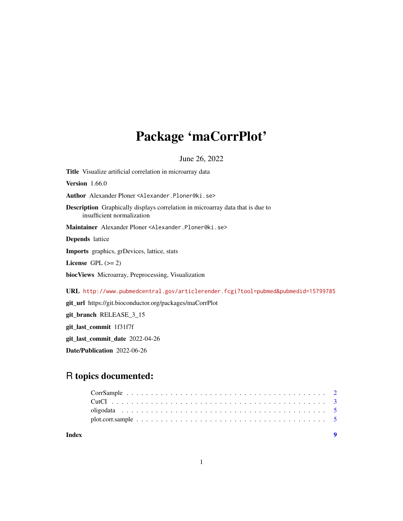## Package 'maCorrPlot'

June 26, 2022

<span id="page-0-0"></span>Title Visualize artificial correlation in microarray data Version 1.66.0 Author Alexander Ploner <Alexander.Ploner@ki.se> Description Graphically displays correlation in microarray data that is due to insufficient normalization Maintainer Alexander Ploner <Alexander.Ploner@ki.se> Depends lattice Imports graphics, grDevices, lattice, stats License GPL  $(>= 2)$ biocViews Microarray, Preprocessing, Visualization URL <http://www.pubmedcentral.gov/articlerender.fcgi?tool=pubmed&pubmedid=15799785> git\_url https://git.bioconductor.org/packages/maCorrPlot git\_branch RELEASE\_3\_15 git\_last\_commit 1f31f7f git\_last\_commit\_date 2022-04-26 Date/Publication 2022-06-26

### R topics documented:

| Index |  |  |  |  |  |  |  |  |  |  |  |  |  |  |  |
|-------|--|--|--|--|--|--|--|--|--|--|--|--|--|--|--|
|       |  |  |  |  |  |  |  |  |  |  |  |  |  |  |  |
|       |  |  |  |  |  |  |  |  |  |  |  |  |  |  |  |
|       |  |  |  |  |  |  |  |  |  |  |  |  |  |  |  |
|       |  |  |  |  |  |  |  |  |  |  |  |  |  |  |  |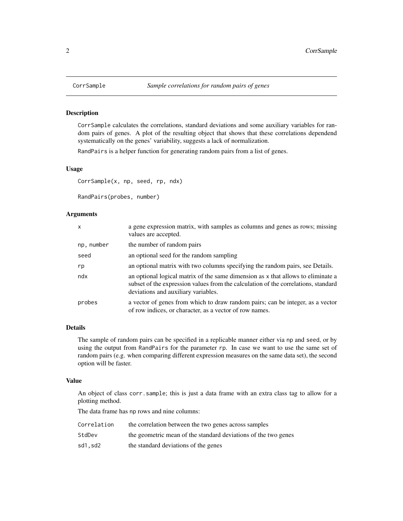#### Description

CorrSample calculates the correlations, standard deviations and some auxiliary variables for random pairs of genes. A plot of the resulting object that shows that these correlations dependend systematically on the genes' variability, suggests a lack of normalization.

RandPairs is a helper function for generating random pairs from a list of genes.

#### Usage

CorrSample(x, np, seed, rp, ndx)

RandPairs(probes, number)

#### Arguments

| $\mathsf{x}$ | a gene expression matrix, with samples as columns and genes as rows; missing<br>values are accepted.                                                                                                          |
|--------------|---------------------------------------------------------------------------------------------------------------------------------------------------------------------------------------------------------------|
| np, number   | the number of random pairs                                                                                                                                                                                    |
| seed         | an optional seed for the random sampling                                                                                                                                                                      |
| rp           | an optional matrix with two columns specifying the random pairs, see Details.                                                                                                                                 |
| ndx          | an optional logical matrix of the same dimension as x that allows to eliminate a<br>subset of the expression values from the calculation of the correlations, standard<br>deviations and auxiliary variables. |
| probes       | a vector of genes from which to draw random pairs; can be integer, as a vector<br>of row indices, or character, as a vector of row names.                                                                     |

#### Details

The sample of random pairs can be specified in a replicable manner either via np and seed, or by using the output from RandPairs for the parameter rp. In case we want to use the same set of random pairs (e.g. when comparing different expression measures on the same data set), the second option will be faster.

#### Value

An object of class corr.sample; this is just a data frame with an extra class tag to allow for a plotting method.

The data frame has np rows and nine columns:

| Correlation | the correlation between the two genes across samples           |
|-------------|----------------------------------------------------------------|
| StdDev      | the geometric mean of the standard deviations of the two genes |
| sd1.sd2     | the standard deviations of the genes                           |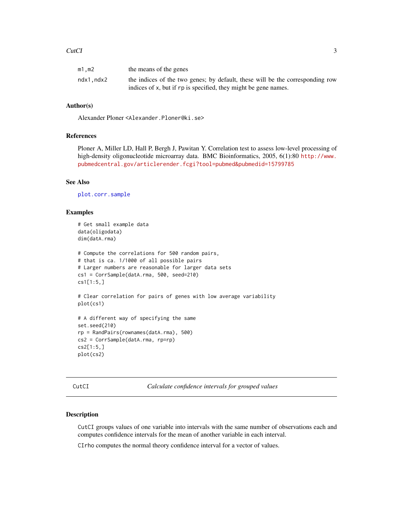#### <span id="page-2-0"></span>CutCI 3

| $m1$ , m2 | the means of the genes                                                        |
|-----------|-------------------------------------------------------------------------------|
| ndx1,ndx2 | the indices of the two genes; by default, these will be the corresponding row |
|           | indices of x, but if rp is specified, they might be gene names.               |

#### Author(s)

Alexander Ploner <Alexander.Ploner@ki.se>

#### References

Ploner A, Miller LD, Hall P, Bergh J, Pawitan Y. Correlation test to assess low-level processing of high-density oligonucleotide microarray data. BMC Bioinformatics, 2005, 6(1):80 [http://www.](http://www.pubmedcentral.gov/articlerender.fcgi?tool=pubmed&pubmedid=15799785) [pubmedcentral.gov/articlerender.fcgi?tool=pubmed&pubmedid=15799785](http://www.pubmedcentral.gov/articlerender.fcgi?tool=pubmed&pubmedid=15799785)

#### See Also

[plot.corr.sample](#page-4-1)

#### Examples

```
# Get small example data
data(oligodata)
dim(datA.rma)
# Compute the correlations for 500 random pairs,
# that is ca. 1/1000 of all possible pairs
# Larger numbers are reasonable for larger data sets
cs1 = CorrSample(datA.rma, 500, seed=210)
cs1[1:5,]
# Clear correlation for pairs of genes with low average variability
plot(cs1)
# A different way of specifying the same
set.seed(210)
rp = RandPairs(rownames(datA.rma), 500)
cs2 = CorrSample(datA.rma, rp=rp)
cs2[1:5,]
plot(cs2)
```
CutCI *Calculate confidence intervals for grouped values*

#### Description

CutCI groups values of one variable into intervals with the same number of observations each and computes confidence intervals for the mean of another variable in each interval.

CIrho computes the normal theory confidence interval for a vector of values.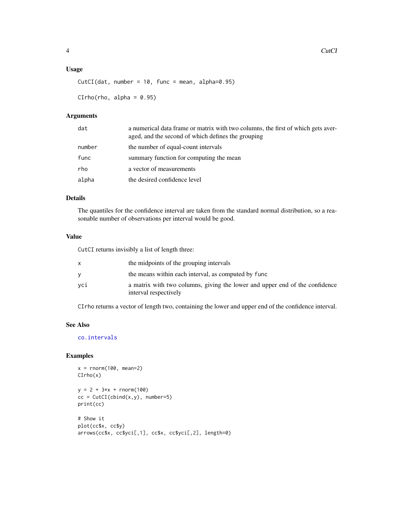#### <span id="page-3-0"></span>Usage

```
CutCI(data, number = 10, func = mean, alpha=0.95)
```
 $CIrho(rho, alpha = 0.95)$ 

#### Arguments

| dat    | a numerical data frame or matrix with two columns, the first of which gets aver-<br>aged, and the second of which defines the grouping |
|--------|----------------------------------------------------------------------------------------------------------------------------------------|
| number | the number of equal-count intervals                                                                                                    |
| func   | summary function for computing the mean                                                                                                |
| rho    | a vector of measurements                                                                                                               |
| alpha  | the desired confidence level                                                                                                           |

#### Details

The quantiles for the confidence interval are taken from the standard normal distribution, so a reasonable number of observations per interval would be good.

#### Value

CutCI returns invisibly a list of length three:

|     | the midpoints of the grouping intervals                                                              |
|-----|------------------------------------------------------------------------------------------------------|
|     | the means within each interval, as computed by func                                                  |
| vci | a matrix with two columns, giving the lower and upper end of the confidence<br>interval respectively |

CIrho returns a vector of length two, containing the lower and upper end of the confidence interval.

#### See Also

[co.intervals](#page-0-0)

#### Examples

```
x = rnorm(100, mean=2)CIrho(x)
y = 2 + 3*x + rnorm(100)cc = CutCI(clind(x,y), number=5)print(cc)
# Show it
plot(cc$x, cc$y)
arrows(cc$x, cc$yci[,1], cc$x, cc$yci[,2], length=0)
```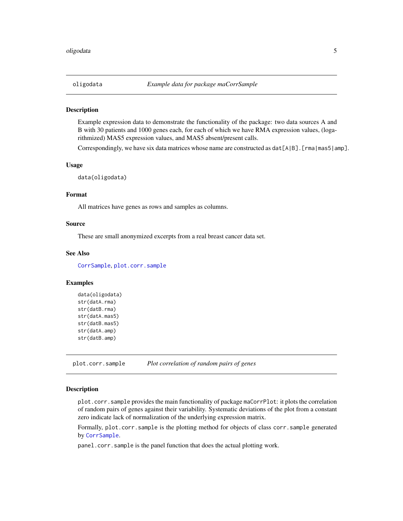<span id="page-4-0"></span>

#### **Description**

Example expression data to demonstrate the functionality of the package: two data sources A and B with 30 patients and 1000 genes each, for each of which we have RMA expression values, (logarithmized) MAS5 expression values, and MAS5 absent/present calls.

Correspondingly, we have six data matrices whose name are constructed as  $dat[A|B]$ . [rma|mas5|amp].

#### Usage

data(oligodata)

#### Format

All matrices have genes as rows and samples as columns.

#### Source

These are small anonymized excerpts from a real breast cancer data set.

#### See Also

[CorrSample](#page-1-1), [plot.corr.sample](#page-4-1)

#### Examples

```
data(oligodata)
str(datA.rma)
str(datB.rma)
str(datA.mas5)
str(datB.mas5)
str(datA.amp)
str(datB.amp)
```
<span id="page-4-1"></span>plot.corr.sample *Plot correlation of random pairs of genes*

#### Description

plot.corr.sample provides the main functionality of package maCorrPlot: it plots the correlation of random pairs of genes against their variability. Systematic deviations of the plot from a constant zero indicate lack of normalization of the underlying expression matrix.

Formally, plot.corr.sample is the plotting method for objects of class corr.sample generated by [CorrSample](#page-1-1).

panel.corr.sample is the panel function that does the actual plotting work.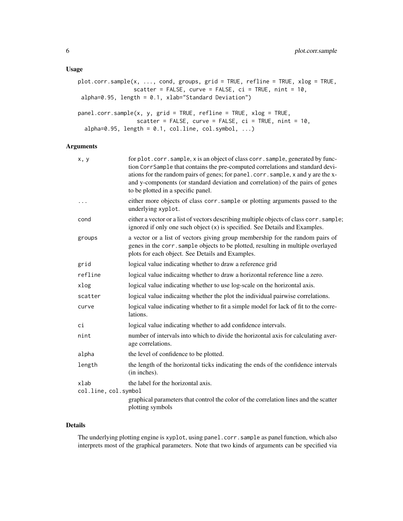#### Usage

```
plot.corr.sample(x, ..., cond, groups, grid = TRUE, refline = TRUE, xlog = TRUE,
                 scatter = FALSE, curve = FALSE, ci = TRUE, nint = 10,
alpha=0.95, length = 0.1, xlab="Standard Deviation")
panel.corr.sample(x, y, grid = TRUE, refline = TRUE, xlog = TRUE,
                  scatter = FALSE, curve = FALSE, ci = TRUE, nint = 10,
  alpha=0.95, length = 0.1, col.line, col.symbol, ...)
```
#### Arguments

| x, y                         | for plot.corr.sample, x is an object of class corr.sample, generated by func-<br>tion CorrSample that contains the pre-computed correlations and standard devi-<br>ations for the random pairs of genes; for panel.corr.sample, x and y are the x-<br>and y-components (or standard deviation and correlation) of the pairs of genes<br>to be plotted in a specific panel. |
|------------------------------|----------------------------------------------------------------------------------------------------------------------------------------------------------------------------------------------------------------------------------------------------------------------------------------------------------------------------------------------------------------------------|
| $\ddots$ .                   | either more objects of class corr. sample or plotting arguments passed to the<br>underlying xyplot.                                                                                                                                                                                                                                                                        |
| cond                         | either a vector or a list of vectors describing multiple objects of class corr. sample;<br>ignored if only one such object (x) is specified. See Details and Examples.                                                                                                                                                                                                     |
| groups                       | a vector or a list of vectors giving group membership for the random pairs of<br>genes in the corr. sample objects to be plotted, resulting in multiple overlayed<br>plots for each object. See Details and Examples.                                                                                                                                                      |
| grid                         | logical value indicating whether to draw a reference grid                                                                                                                                                                                                                                                                                                                  |
| refline                      | logical value indicaitng whether to draw a horizontal reference line a zero.                                                                                                                                                                                                                                                                                               |
| xlog                         | logical value indicating whether to use log-scale on the horizontal axis.                                                                                                                                                                                                                                                                                                  |
| scatter                      | logical value indicaitng whether the plot the individual pairwise correlations.                                                                                                                                                                                                                                                                                            |
| curve                        | logical value indicating whether to fit a simple model for lack of fit to the corre-<br>lations.                                                                                                                                                                                                                                                                           |
| сi                           | logical value indicating whether to add confidence intervals.                                                                                                                                                                                                                                                                                                              |
| nint                         | number of intervals into which to divide the horizontal axis for calculating aver-<br>age correlations.                                                                                                                                                                                                                                                                    |
| alpha                        | the level of confidence to be plotted.                                                                                                                                                                                                                                                                                                                                     |
| length                       | the length of the horizontal ticks indicating the ends of the confidence intervals<br>(in inches).                                                                                                                                                                                                                                                                         |
| xlab<br>col.line, col.symbol | the label for the horizontal axis.                                                                                                                                                                                                                                                                                                                                         |
|                              | graphical parameters that control the color of the correlation lines and the scatter<br>plotting symbols                                                                                                                                                                                                                                                                   |

#### Details

The underlying plotting engine is xyplot, using panel.corr.sample as panel function, which also interprets most of the graphical parameters. Note that two kinds of arguments can be specified via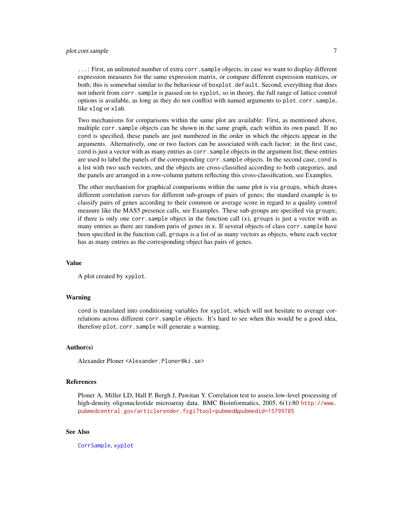#### <span id="page-6-0"></span>plot.corr.sample 7

...: First, an unlimited number of extra corr.sample objects, in case we want to display different expression measures for the same expression matrix, or compare different expression matrices, or both; this is somewhat similar to the behaviour of boxplot.default. Second, everything that does not inherit from corr.sample is passed on to xyplot, so in theory, the full range of lattice control options is available, as long as they do not conflixt with named arguments to plot.corr.sample, like xlog or xlab.

Two mechanisms for comparisons within the same plot are available: First, as mentioned above, multiple corr.sample objects can be shown in the same graph, each within its own panel. If no cond is specified, these panels are just numbered in the order in which the objects appear in the arguments. Alternatively, one or two factors can be associated with each factor: in the first case, cond is just a vector with as many entries as corr. sample objects in the argument list; these entries are used to label the panels of the corresponding corr.sample objects. In the second case, cond is a list with two such vectors, and the objects are cross-classified according to both categories, and the panels are arranged in a row-column pattern reflecting this cross-classification, see Examples.

The other mechanism for graphical comparisons within the same plot is via groups, which draws different correlation curves for different sub-groups of pairs of genes; the standard example is to classify pairs of genes according to their common or average score in regard to a quality control measure like the MAS5 presence calls, see Examples. These sub-groups are specified via groups; if there is only one corr. sample object in the function call  $(x)$ , groups is just a vector with as many entries as there are random paris of genes in x. If several objects of class corr. sample have been specified in the function call, groups is a list of as many vectors as objects, where each vector has as many entries as the corresponding object has pairs of genes.

#### Value

A plot created by xyplot.

#### Warning

cond is translated into conditioning variables for xyplot, which will not hesitate to average correlations across different corr.sample objects. It's hard to see when this would be a good idea, therefore plot.corr.sample will generate a warning.

#### Author(s)

Alexander Ploner <Alexander.Ploner@ki.se>

#### References

Ploner A, Miller LD, Hall P, Bergh J, Pawitan Y. Correlation test to assess low-level processing of high-density oligonucleotide microarray data. BMC Bioinformatics, 2005, 6(1):80 [http://www.](http://www.pubmedcentral.gov/articlerender.fcgi?tool=pubmed&pubmedid=15799785) [pubmedcentral.gov/articlerender.fcgi?tool=pubmed&pubmedid=15799785](http://www.pubmedcentral.gov/articlerender.fcgi?tool=pubmed&pubmedid=15799785)

#### See Also

[CorrSample](#page-1-1), [xyplot](#page-0-0)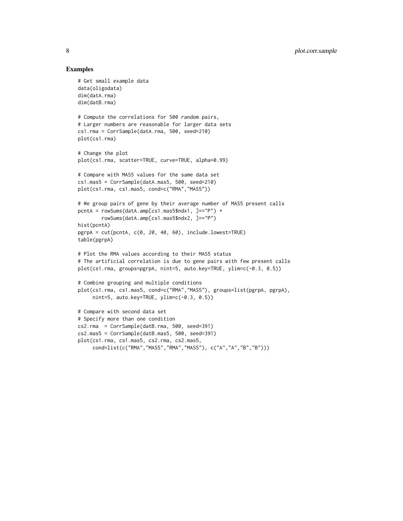#### Examples

```
# Get small example data
data(oligodata)
dim(datA.rma)
dim(datB.rma)
# Compute the correlations for 500 random pairs,
# Larger numbers are reasonable for larger data sets
cs1.rma = CorrSample(datA.rma, 500, seed=210)
plot(cs1.rma)
# Change the plot
plot(cs1.rma, scatter=TRUE, curve=TRUE, alpha=0.99)
# Compare with MAS5 values for the same data set
cs1.mas5 = CorrSample(datA.mas5, 500, seed=210)
plot(cs1.rma, cs1.mas5, cond=c("RMA","MAS5"))
# We group pairs of gene by their average number of MAS5 present calls
pcntA = rowSums(datA.amp[cs1.mas5$ndx1, ]=="P") +
        rowSums(datA.amp[cs1.mas5$ndx2, ]=="P")
hist(pcntA)
pgrpA = cut(pcntA, c(0, 20, 40, 60), include.lowest=TRUE)
table(pgrpA)
# Plot the RMA values according to their MAS5 status
# The artificial correlation is due to gene pairs with few present calls
plot(cs1.rma, groups=pgrpA, nint=5, auto.key=TRUE, ylim=c(-0.3, 0.5))
# Combine grouping and multiple conditions
plot(cs1.rma, cs1.mas5, cond=c("RMA","MAS5"), groups=list(pgrpA, pgrpA),
     nint=5, auto.key=TRUE, ylim=c(-0.3, 0.5))
# Compare with second data set
# Specify more than one condition
cs2.rma = CorrSample(datB.rma, 500, seed=391)
cs2.mas5 = CorrSample(datB.mas5, 500, seed=391)
plot(cs1.rma, cs1.mas5, cs2.rma, cs2.mas5,
     cond=list(c("RMA","MAS5","RMA","MAS5"), c("A","A","B","B")))
```